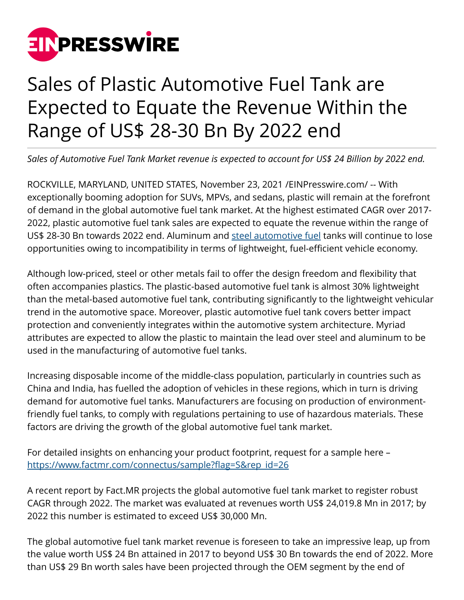

## Sales of Plastic Automotive Fuel Tank are Expected to Equate the Revenue Within the Range of US\$ 28-30 Bn By 2022 end

*Sales of Automotive Fuel Tank Market revenue is expected to account for US\$ 24 Billion by 2022 end.*

ROCKVILLE, MARYLAND, UNITED STATES, November 23, 2021 [/EINPresswire.com](http://www.einpresswire.com)/ -- With exceptionally booming adoption for SUVs, MPVs, and sedans, plastic will remain at the forefront of demand in the global automotive fuel tank market. At the highest estimated CAGR over 2017- 2022, plastic automotive fuel tank sales are expected to equate the revenue within the range of US\$ 28-30 Bn towards 2022 end. Aluminum and [steel automotive fuel](https://www.factmr.com/report/26/automotive-fuel-tank-market) tanks will continue to lose opportunities owing to incompatibility in terms of lightweight, fuel-efficient vehicle economy.

Although low-priced, steel or other metals fail to offer the design freedom and flexibility that often accompanies plastics. The plastic-based automotive fuel tank is almost 30% lightweight than the metal-based automotive fuel tank, contributing significantly to the lightweight vehicular trend in the automotive space. Moreover, plastic automotive fuel tank covers better impact protection and conveniently integrates within the automotive system architecture. Myriad attributes are expected to allow the plastic to maintain the lead over steel and aluminum to be used in the manufacturing of automotive fuel tanks.

Increasing disposable income of the middle-class population, particularly in countries such as China and India, has fuelled the adoption of vehicles in these regions, which in turn is driving demand for automotive fuel tanks. Manufacturers are focusing on production of environmentfriendly fuel tanks, to comply with regulations pertaining to use of hazardous materials. These factors are driving the growth of the global automotive fuel tank market.

For detailed insights on enhancing your product footprint, request for a sample here – [https://www.factmr.com/connectus/sample?flag=S&rep\\_id=26](https://www.factmr.com/connectus/sample?flag=S&rep_id=26)

A recent report by Fact.MR projects the global automotive fuel tank market to register robust CAGR through 2022. The market was evaluated at revenues worth US\$ 24,019.8 Mn in 2017; by 2022 this number is estimated to exceed US\$ 30,000 Mn.

The global automotive fuel tank market revenue is foreseen to take an impressive leap, up from the value worth US\$ 24 Bn attained in 2017 to beyond US\$ 30 Bn towards the end of 2022. More than US\$ 29 Bn worth sales have been projected through the OEM segment by the end of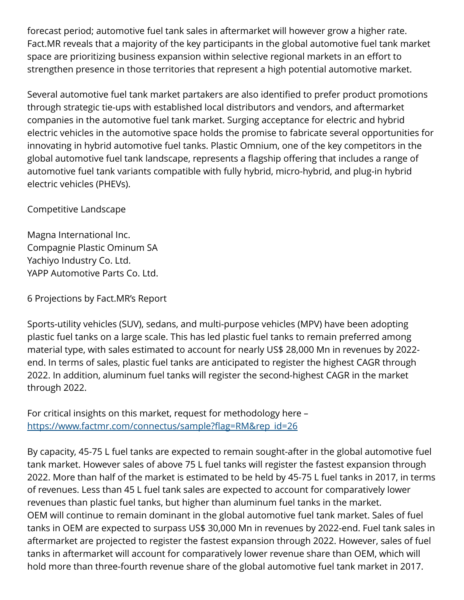forecast period; automotive fuel tank sales in aftermarket will however grow a higher rate. Fact.MR reveals that a majority of the key participants in the global automotive fuel tank market space are prioritizing business expansion within selective regional markets in an effort to strengthen presence in those territories that represent a high potential automotive market.

Several automotive fuel tank market partakers are also identified to prefer product promotions through strategic tie-ups with established local distributors and vendors, and aftermarket companies in the automotive fuel tank market. Surging acceptance for electric and hybrid electric vehicles in the automotive space holds the promise to fabricate several opportunities for innovating in hybrid automotive fuel tanks. Plastic Omnium, one of the key competitors in the global automotive fuel tank landscape, represents a flagship offering that includes a range of automotive fuel tank variants compatible with fully hybrid, micro-hybrid, and plug-in hybrid electric vehicles (PHEVs).

Competitive Landscape

Magna International Inc. Compagnie Plastic Ominum SA Yachiyo Industry Co. Ltd. YAPP Automotive Parts Co. Ltd.

6 Projections by Fact.MR's Report

Sports-utility vehicles (SUV), sedans, and multi-purpose vehicles (MPV) have been adopting plastic fuel tanks on a large scale. This has led plastic fuel tanks to remain preferred among material type, with sales estimated to account for nearly US\$ 28,000 Mn in revenues by 2022 end. In terms of sales, plastic fuel tanks are anticipated to register the highest CAGR through 2022. In addition, aluminum fuel tanks will register the second-highest CAGR in the market through 2022.

For critical insights on this market, request for methodology here – [https://www.factmr.com/connectus/sample?flag=RM&rep\\_id=26](https://www.factmr.com/connectus/sample?flag=RM&rep_id=26)

By capacity, 45-75 L fuel tanks are expected to remain sought-after in the global automotive fuel tank market. However sales of above 75 L fuel tanks will register the fastest expansion through 2022. More than half of the market is estimated to be held by 45-75 L fuel tanks in 2017, in terms of revenues. Less than 45 L fuel tank sales are expected to account for comparatively lower revenues than plastic fuel tanks, but higher than aluminum fuel tanks in the market. OEM will continue to remain dominant in the global automotive fuel tank market. Sales of fuel tanks in OEM are expected to surpass US\$ 30,000 Mn in revenues by 2022-end. Fuel tank sales in aftermarket are projected to register the fastest expansion through 2022. However, sales of fuel tanks in aftermarket will account for comparatively lower revenue share than OEM, which will hold more than three-fourth revenue share of the global automotive fuel tank market in 2017.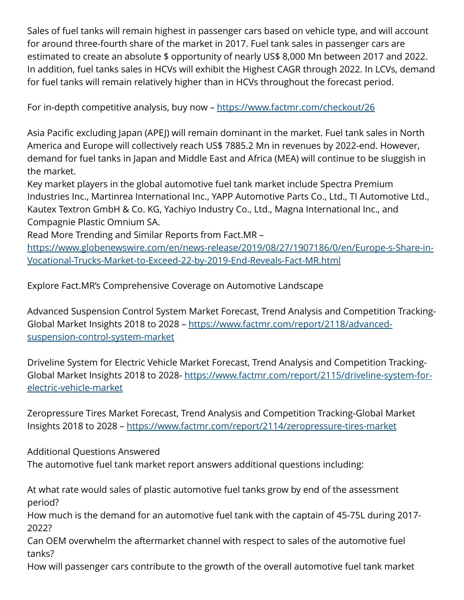Sales of fuel tanks will remain highest in passenger cars based on vehicle type, and will account for around three-fourth share of the market in 2017. Fuel tank sales in passenger cars are estimated to create an absolute \$ opportunity of nearly US\$ 8,000 Mn between 2017 and 2022. In addition, fuel tanks sales in HCVs will exhibit the Highest CAGR through 2022. In LCVs, demand for fuel tanks will remain relatively higher than in HCVs throughout the forecast period.

For in-depth competitive analysis, buy now –<https://www.factmr.com/checkout/26>

Asia Pacific excluding Japan (APEJ) will remain dominant in the market. Fuel tank sales in North America and Europe will collectively reach US\$ 7885.2 Mn in revenues by 2022-end. However, demand for fuel tanks in Japan and Middle East and Africa (MEA) will continue to be sluggish in the market.

Key market players in the global automotive fuel tank market include Spectra Premium Industries Inc., Martinrea International Inc., YAPP Automotive Parts Co., Ltd., TI Automotive Ltd., Kautex Textron GmbH & Co. KG, Yachiyo Industry Co., Ltd., Magna International Inc., and Compagnie Plastic Omnium SA.

Read More Trending and Similar Reports from Fact.MR –

[https://www.globenewswire.com/en/news-release/2019/08/27/1907186/0/en/Europe-s-Share-in-](https://www.globenewswire.com/en/news-release/2019/08/27/1907186/0/en/Europe-s-Share-in-Vocational-Trucks-Market-to-Exceed-22-by-2019-End-Reveals-Fact-MR.html)[Vocational-Trucks-Market-to-Exceed-22-by-2019-End-Reveals-Fact-MR.html](https://www.globenewswire.com/en/news-release/2019/08/27/1907186/0/en/Europe-s-Share-in-Vocational-Trucks-Market-to-Exceed-22-by-2019-End-Reveals-Fact-MR.html)

Explore Fact.MR's Comprehensive Coverage on Automotive Landscape

Advanced Suspension Control System Market Forecast, Trend Analysis and Competition Tracking-Global Market Insights 2018 to 2028 – [https://www.factmr.com/report/2118/advanced](https://www.factmr.com/report/2118/advanced-suspension-control-system-market)[suspension-control-system-market](https://www.factmr.com/report/2118/advanced-suspension-control-system-market)

Driveline System for Electric Vehicle Market Forecast, Trend Analysis and Competition Tracking-Global Market Insights 2018 to 2028- [https://www.factmr.com/report/2115/driveline-system-for](https://www.factmr.com/report/2115/driveline-system-for-electric-vehicle-market)[electric-vehicle-market](https://www.factmr.com/report/2115/driveline-system-for-electric-vehicle-market)

Zeropressure Tires Market Forecast, Trend Analysis and Competition Tracking-Global Market Insights 2018 to 2028 –<https://www.factmr.com/report/2114/zeropressure-tires-market>

Additional Questions Answered The automotive fuel tank market report answers additional questions including:

At what rate would sales of plastic automotive fuel tanks grow by end of the assessment period?

How much is the demand for an automotive fuel tank with the captain of 45-75L during 2017- 2022?

Can OEM overwhelm the aftermarket channel with respect to sales of the automotive fuel tanks?

How will passenger cars contribute to the growth of the overall automotive fuel tank market